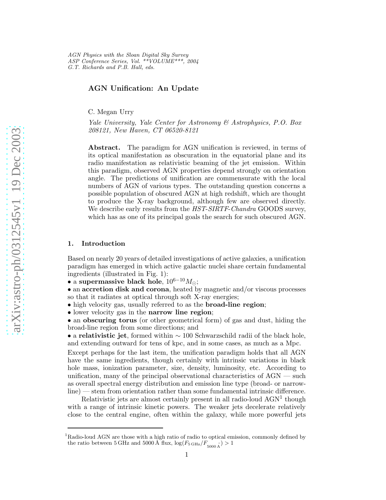AGN Physics with the Sloan Digital Sky Survey ASP Conference Series, Vol. \*\*VOLUME\*\*\*, 2004 G.T. Richards and P.B. Hall, eds.

# AGN Unification: An Update

C. Megan Urry

*Yale University, Yale Center for Astronomy & Astrophysics, P.O. Box 208121, New Haven, CT 06520-8121*

Abstract. The paradigm for AGN unification is reviewed, in terms of its optical manifestation as obscuration in the equatorial plane and its radio manifestation as relativistic beaming of the jet emission. Within this paradigm, observed AGN properties depend strongly on orientation angle. The predictions of unification are commensurate with the local numbers of AGN of various types. The outstanding question concerns a possible population of obscured AGN at high redshift, which are thought to produce the X-ray background, although few are observed directly. We describe early results from the *HST*-*SIRTF*-*Chandra* GOODS survey, which has as one of its principal goals the search for such obscured AGN.

### 1. Introduction

Based on nearly 20 years of detailed investigations of active galaxies, a unification paradigm has emerged in which active galactic nuclei share certain fundamental ingredients (illustrated in Fig. 1):

• a supermassive black hole,  $10^{6-10} M_{\odot}$ ;

• an accretion disk and corona, heated by magnetic and/or viscous processes so that it radiates at optical through soft X-ray energies;

- high velocity gas, usually referred to as the **broad-line region**;
- lower velocity gas in the narrow line region;

• an obscuring torus (or other geometrical form) of gas and dust, hiding the broad-line region from some directions; and

• a relativistic jet, formed within  $\sim 100$  Schwarzschild radii of the black hole, and extending outward for tens of kpc, and in some cases, as much as a Mpc.

Except perhaps for the last item, the unification paradigm holds that all AGN have the same ingredients, though certainly with intrinsic variations in black hole mass, ionization parameter, size, density, luminosity, etc. According to unification, many of the principal observational characteristics of AGN — such as overall spectral energy distribution and emission line type (broad- or narrowline) — stem from orientation rather than some fundamental intrinsic difference.

Relativistic jets are almost certainly present in all radio-loud  $\text{AGN}^1$  though with a range of intrinsic kinetic powers. The weaker jets decelerate relatively close to the central engine, often within the galaxy, while more powerful jets

<sup>&</sup>lt;sup>1</sup>Radio-loud AGN are those with a high ratio of radio to optical emission, commonly defined by the ratio between 5 GHz and 5000 Å flux,  $\log(F_{\rm 5\,GHz}/F_{\rm 5000\,\AA}^{\rm 3}) > 1$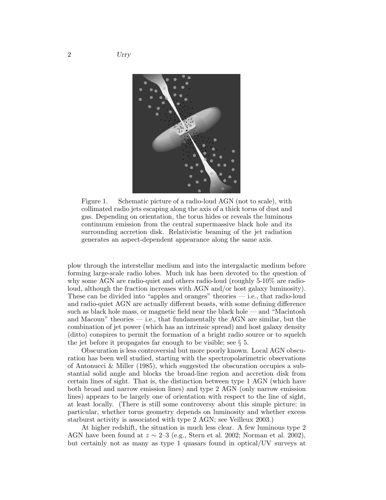

Figure 1. Schematic picture of a radio-loud AGN (not to scale), with collimated radio jets escaping along the axis of a thick torus of dust and gas. Depending on orientation, the torus hides or reveals the luminous continuum emission from the central supermassive black hole and its surrounding accretion disk. Relativistic beaming of the jet radiation generates an aspect-dependent appearance along the same axis.

plow through the interstellar medium and into the intergalactic medium before forming large-scale radio lobes. Much ink has been devoted to the question of why some AGN are radio-quiet and others radio-loud (roughly 5-10% are radioloud, although the fraction increases with AGN and/or host galaxy luminosity). These can be divided into "apples and oranges" theories — i.e., that radio-loud and radio-quiet AGN are actually different beasts, with some defining difference such as black hole mass, or magnetic field near the black hole — and "Macintosh and Macoun" theories — i.e., that fundamentally the AGN are similar, but the combination of jet power (which has an intrinsic spread) and host galaxy density (ditto) conspires to permit the formation of a bright radio source or to squelch the jet before it propagates far enough to be visible; see  $\S$  5.

Obscuration is less controversial but more poorly known. Local AGN obscuration has been well studied, starting with the spectropolarimetric observations of Antonucci & Miller (1985), which suggested the obscuration occupies a substantial solid angle and blocks the broad-line region and accretion disk from certain lines of sight. That is, the distinction between type 1 AGN (which have both broad and narrow emission lines) and type 2 AGN (only narrow emission lines) appears to be largely one of orientation with respect to the line of sight, at least locally. (There is still some controversy about this simple picture; in particular, whether torus geometry depends on luminosity and whether excess starburst activity is associated with type 2 AGN; see Veilleux 2003.)

At higher redshift, the situation is much less clear. A few luminous type 2 AGN have been found at  $z \sim 2-3$  (e.g., Stern et al. 2002; Norman et al. 2002), but certainly not as many as type 1 quasars found in optical/UV surveys at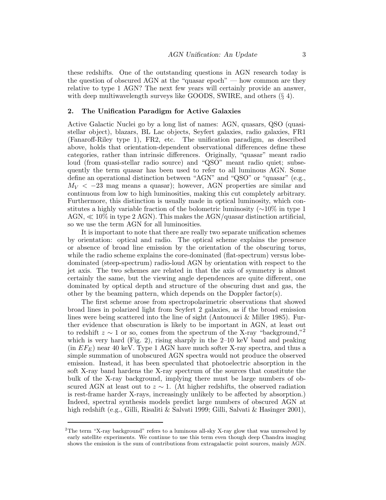these redshifts. One of the outstanding questions in AGN research today is the question of obscured AGN at the "quasar epoch" — how common are they relative to type 1 AGN? The next few years will certainly provide an answer, with deep multiwavelength surveys like GOODS, SWIRE, and others  $(\S 4)$ .

#### 2. The Unification Paradigm for Active Galaxies

Active Galactic Nuclei go by a long list of names: AGN, quasars, QSO (quasistellar object), blazars, BL Lac objects, Seyfert galaxies, radio galaxies, FR1 (Fanaroff-Riley type 1), FR2, etc. The unification paradigm, as described above, holds that orientation-dependent observational differences define these categories, rather than intrinsic differences. Originally, "quasar" meant radio loud (from quasi-stellar radio source) and "QSO" meant radio quiet; subsequently the term quasar has been used to refer to all luminous AGN. Some define an operational distinction between "AGN" and "QSO" or "quasar" (e.g.,  $M_V < -23$  mag means a quasar); however, AGN properties are similar and continuous from low to high luminosities, making this cut completely arbitrary. Furthermore, this distinction is usually made in optical luminosity, which constitutes a highly variable fraction of the bolometric luminosity (∼10% in type 1 AGN,  $\ll 10\%$  in type 2 AGN). This makes the AGN/quasar distinction artificial, so we use the term AGN for all luminosities.

It is important to note that there are really two separate unification schemes by orientation: optical and radio. The optical scheme explains the presence or absence of broad line emission by the orientation of the obscuring torus, while the radio scheme explains the core-dominated (flat-spectrum) versus lobedominated (steep-spectrum) radio-loud AGN by orientation with respect to the jet axis. The two schemes are related in that the axis of symmetry is almost certainly the same, but the viewing angle dependences are quite different, one dominated by optical depth and structure of the obscuring dust and gas, the other by the beaming pattern, which depends on the Doppler factor(s).

The first scheme arose from spectropolarimetric observations that showed broad lines in polarized light from Seyfert 2 galaxies, as if the broad emission lines were being scattered into the line of sight (Antonucci & Miller 1985). Further evidence that obscuration is likely to be important in AGN, at least out to redshift  $z \sim 1$  or so, comes from the spectrum of the X-ray "background,"<sup>2</sup> which is very hard (Fig. 2), rising sharply in the 2–10 keV band and peaking  $(in EF<sub>E</sub>)$  near 40 keV. Type 1 AGN have much softer X-ray spectra, and thus a simple summation of unobscured AGN spectra would not produce the observed emission. Instead, it has been speculated that photoelectric absorption in the soft X-ray band hardens the X-ray spectrum of the sources that constitute the bulk of the X-ray background, implying there must be large numbers of obscured AGN at least out to  $z \sim 1$ . (At higher redshifts, the observed radiation is rest-frame harder X-rays, increasingly unlikely to be affected by absorption.) Indeed, spectral synthesis models predict large numbers of obscured AGN at high redshift (e.g., Gilli, Risaliti & Salvati 1999; Gilli, Salvati & Hasinger 2001),

<sup>&</sup>lt;sup>2</sup>The term "X-ray background" refers to a luminous all-sky X-ray glow that was unresolved by early satellite experiments. We continue to use this term even though deep Chandra imaging shows the emission is the sum of contributions from extragalactic point sources, mainly AGN.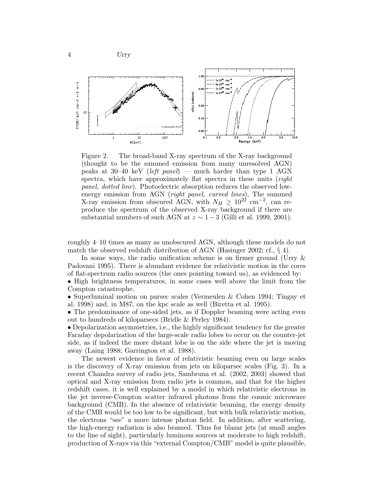4 Urry



Figure 2. The broad-band X-ray spectrum of the X-ray background (thought to be the summed emission from many unresolved AGN) peaks at 30–40 keV (*left panel*) — much harder than type 1 AGN spectra, which have approximately flat spectra in these units (*right panel, dotted line*). Photoelectric absorption reduces the observed lowenergy emission from AGN (*right panel, curved lines*), The summed X-ray emission from obscured AGN, with  $N_H \geq 10^{22}$  cm<sup>-2</sup>, can reproduce the spectrum of the observed X-ray background if there are substantial numbers of such AGN at  $z \sim 1-3$  (Gilli et al. 1999, 2001).

roughly 4–10 times as many as unobscured AGN, although these models do not match the observed redshift distribution of AGN (Hasinger 2002; cf.,  $\S$  4).

In some ways, the radio unification scheme is on firmer ground (Urry & Padovani 1995). There is abundant evidence for relativistic motion in the cores of flat-spectrum radio sources (the ones pointing toward us), as evidenced by:

• High brightness temperatures, in some cases well above the limit from the Compton catastrophe.

• Superluminal motion on parsec scales (Vermeulen & Cohen 1994; Tingay et al. 1998) and, in M87, on the kpc scale as well (Biretta et al. 1995).

• The predominance of one-sided jets, as if Doppler beaming were acting even out to hundreds of kiloparsecs (Bridle & Perley 1984).

• Depolarization asymmetries, i.e., the highly significant tendency for the greater Faraday depolarization of the large-scale radio lobes to occur on the counter-jet side, as if indeed the more distant lobe is on the side where the jet is moving away (Laing 1988; Garrington et al. 1988).

The newest evidence in favor of relativistic beaming even on large scales is the discovery of X-ray emission from jets on kiloparsec scales (Fig. 3). In a recent Chandra survey of radio jets, Sambruna et al. (2002, 2003) showed that optical and X-ray emission from radio jets is common, and that for the higher redshift cases, it is well explained by a model in which relativistic electrons in the jet inverse-Compton scatter infrared photons from the cosmic microwave background (CMB). In the absence of relativistic beaming, the energy density of the CMB would be too low to be significant, but with bulk relativistic motion, the electrons "see" a more intense photon field. In addition, after scattering, the high-energy radiation is also beamed. Thus for blazar jets (at small angles to the line of sight), particularly luminous sources at moderate to high redshift, production of X-rays via this "external Compton/CMB" model is quite plausible,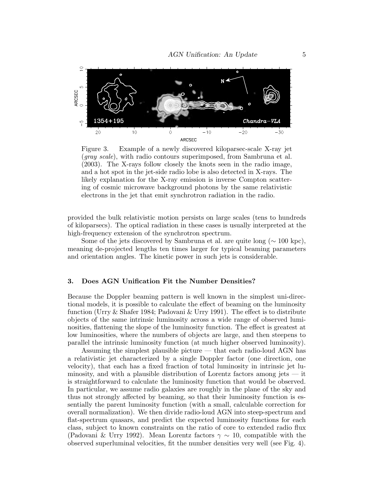

Figure 3. Example of a newly discovered kiloparsec-scale X-ray jet (*gray scale*), with radio contours superimposed, from Sambruna et al. (2003). The X-rays follow closely the knots seen in the radio image, and a hot spot in the jet-side radio lobe is also detected in X-rays. The likely explanation for the X-ray emission is inverse Compton scattering of cosmic microwave background photons by the same relativistic electrons in the jet that emit synchrotron radiation in the radio.

provided the bulk relativistic motion persists on large scales (tens to hundreds of kiloparsecs). The optical radiation in these cases is usually interpreted at the high-frequency extension of the synchrotron spectrum.

Some of the jets discovered by Sambruna et al. are quite long ( $\sim 100$  kpc), meaning de-projected lengths ten times larger for typical beaming parameters and orientation angles. The kinetic power in such jets is considerable.

## 3. Does AGN Unification Fit the Number Densities?

Because the Doppler beaming pattern is well known in the simplest uni-directional models, it is possible to calculate the effect of beaming on the luminosity function (Urry & Shafer 1984; Padovani & Urry 1991). The effect is to distribute objects of the same intrinsic luminosity across a wide range of observed luminosities, flattening the slope of the luminosity function. The effect is greatest at low luminosities, where the numbers of objects are large, and then steepens to parallel the intrinsic luminosity function (at much higher observed luminosity).

Assuming the simplest plausible picture — that each radio-loud AGN has a relativistic jet characterized by a single Doppler factor (one direction, one velocity), that each has a fixed fraction of total luminosity in intrinsic jet luminosity, and with a plausible distribution of Lorentz factors among jets — it is straightforward to calculate the luminosity function that would be observed. In particular, we assume radio galaxies are roughly in the plane of the sky and thus not strongly affected by beaming, so that their luminosity function is essentially the parent luminosity function (with a small, calculable correction for overall normalization). We then divide radio-loud AGN into steep-spectrum and flat-spectrum quasars, and predict the expected luminosity functions for each class, subject to known constraints on the ratio of core to extended radio flux (Padovani & Urry 1992). Mean Lorentz factors  $\gamma \sim 10$ , compatible with the observed superluminal velocities, fit the number densities very well (see Fig. 4).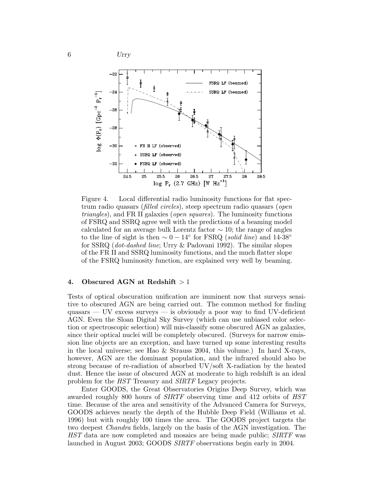



Figure 4. Local differential radio luminosity functions for flat spectrum radio quasars (*filled circles*), steep spectrum radio quasars (*open triangles*), and FR II galaxies (*open squares*). The luminosity functions of FSRQ and SSRQ agree well with the predictions of a beaming model calculated for an average bulk Lorentz factor  $\sim$  10; the range of angles to the line of sight is then ∼ 0 − 14◦ for FSRQ (*solid line*) and 14-38◦ for SSRQ (*dot-dashed line*; Urry & Padovani 1992). The similar slopes of the FR II and SSRQ luminosity functions, and the much flatter slope of the FSRQ luminosity function, are explained very well by beaming.

## 4. Obscured AGN at Redshift  $>1$

Tests of optical obscuration unification are imminent now that surveys sensitive to obscured AGN are being carried out. The common method for finding quasars — UV excess surveys — is obviously a poor way to find UV-deficient AGN. Even the Sloan Digital Sky Survey (which can use unbiased color selection or spectroscopic selection) will mis-classify some obscured AGN as galaxies, since their optical nuclei will be completely obscured. (Surveys for narrow emission line objects are an exception, and have turned up some interesting results in the local universe; see Hao & Strauss 2004, this volume.) In hard X-rays, however, AGN are the dominant population, and the infrared should also be strong because of re-radiation of absorbed UV/soft X-radiation by the heated dust. Hence the issue of obscured AGN at moderate to high redshift is an ideal problem for the *HST* Treasury and *SIRTF* Legacy projects.

Enter GOODS, the Great Observatories Origins Deep Survey, which was awarded roughly 800 hours of *SIRTF* observing time and 412 orbits of *HST* time. Because of the area and sensitivity of the Advanced Camera for Surveys, GOODS achieves nearly the depth of the Hubble Deep Field (Williams et al. 1996) but with roughly 100 times the area. The GOODS project targets the two deepest *Chandra* fields, largely on the basis of the AGN investigation. The *HST* data are now completed and mosaics are being made public; *SIRTF* was launched in August 2003; GOODS *SIRTF* observations begin early in 2004.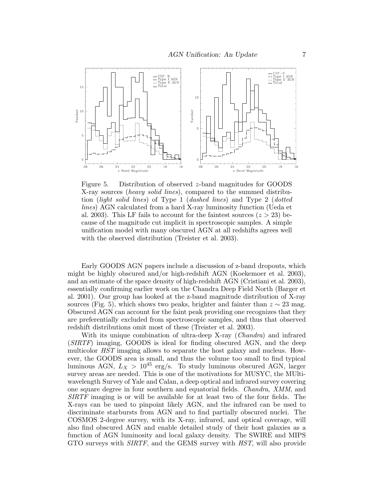

Figure 5. Distribution of observed z-band magnitudes for GOODS X-ray sources (*heavy solid lines*), compared to the summed distribution (*light solid lines*) of Type 1 (*dashed lines*) and Type 2 (*dotted lines*) AGN calculated from a hard X-ray luminosity function (Ueda et al. 2003). This LF fails to account for the faintest sources  $(z > 23)$  because of the magnitude cut implicit in spectroscopic samples. A simple unification model with many obscured AGN at all redshifts agrees well with the observed distribution (Treister et al. 2003).

Early GOODS AGN papers include a discussion of z-band dropouts, which might be highly obscured and/or high-redshift AGN (Koekemoer et al. 2003), and an estimate of the space density of high-redshift AGN (Cristiani et al. 2003), essentially confirming earlier work on the Chandra Deep Field North (Barger et al. 2001). Our group has looked at the z-band magnitude distribution of X-ray sources (Fig. 5), which shows two peaks, brighter and fainter than  $z \sim 23$  mag. Obscured AGN can account for the faint peak providing one recognizes that they are preferentially excluded from spectroscopic samples, and thus that observed redshift distributions omit most of these (Treister et al. 2003).

With its unique combination of ultra-deep X-ray (*Chandra*) and infrared (*SIRTF*) imaging, GOODS is ideal for finding obscured AGN, and the deep multicolor *HST* imaging allows to separate the host galaxy and nucleus. However, the GOODS area is small, and thus the volume too small to find typical luminous AGN,  $L_X > 10^{45}$  erg/s. To study luminous obscured AGN, larger survey areas are needed. This is one of the motivations for MUSYC, the MUltiwavelength Survey of Yale and Calan, a deep optical and infrared survey covering one square degree in four southern and equatorial fields. *Chandra*, *XMM*, and *SIRTF* imaging is or will be available for at least two of the four fields. The X-rays can be used to pinpoint likely AGN, and the infrared can be used to discriminate starbursts from AGN and to find partially obscured nuclei. The COSMOS 2-degree survey, with its X-ray, infrared, and optical coverage, will also find obscured AGN and enable detailed study of their host galaxies as a function of AGN luminosity and local galaxy density. The SWIRE and MIPS GTO surveys with *SIRTF*, and the GEMS survey with *HST*, will also provide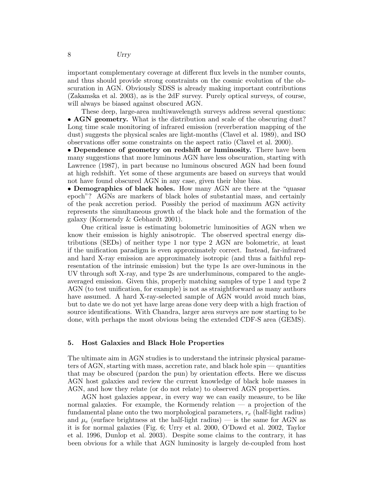important complementary coverage at different flux levels in the number counts, and thus should provide strong constraints on the cosmic evolution of the obscuration in AGN. Obviously SDSS is already making important contributions (Zakamska et al. 2003), as is the 2dF survey. Purely optical surveys, of course, will always be biased against obscured AGN.

These deep, large-area multiwavelength surveys address several questions: • **AGN** geometry. What is the distribution and scale of the obscuring dust? Long time scale monitoring of infrared emission (reverberation mapping of the dust) suggests the physical scales are light-months (Clavel et al. 1989), and ISO observations offer some constraints on the aspect ratio (Clavel et al. 2000).

• Dependence of geometry on redshift or luminosity. There have been many suggestions that more luminous AGN have less obscuration, starting with Lawrence (1987), in part because no luminous obscured AGN had been found at high redshift. Yet some of these arguments are based on surveys that would not have found obscured AGN in any case, given their blue bias.

• Demographics of black holes. How many AGN are there at the "quasar" epoch"? AGNs are markers of black holes of substantial mass, and certainly of the peak accretion period. Possibly the period of maximum AGN activity represents the simultaneous growth of the black hole and the formation of the galaxy (Kormendy & Gebhardt 2001).

One critical issue is estimating bolometric luminosities of AGN when we know their emission is highly anisotropic. The observed spectral energy distributions (SEDs) of neither type 1 nor type 2 AGN are bolometric, at least if the unification paradigm is even approximately correct. Instead, far-infrared and hard X-ray emission are approximately isotropic (and thus a faithful representation of the intrinsic emission) but the type 1s are over-luminous in the UV through soft X-ray, and type 2s are underluminous, compared to the angleaveraged emission. Given this, properly matching samples of type 1 and type 2 AGN (to test unification, for example) is not as straightforward as many authors have assumed. A hard X-ray-selected sample of AGN would avoid much bias, but to date we do not yet have large areas done very deep with a high fraction of source identifications. With Chandra, larger area surveys are now starting to be done, with perhaps the most obvious being the extended CDF-S area (GEMS).

#### 5. Host Galaxies and Black Hole Properties

The ultimate aim in AGN studies is to understand the intrinsic physical parameters of AGN, starting with mass, accretion rate, and black hole spin — quantities that may be obscured (pardon the pun) by orientation effects. Here we discuss AGN host galaxies and review the current knowledge of black hole masses in AGN, and how they relate (or do not relate) to observed AGN properties.

AGN host galaxies appear, in every way we can easily measure, to be like normal galaxies. For example, the Kormendy relation — a projection of the fundamental plane onto the two morphological parameters,  $r_e$  (half-light radius) and  $\mu_e$  (surface brightness at the half-light radius) — is the same for AGN as it is for normal galaxies (Fig. 6; Urry et al. 2000, O'Dowd et al. 2002, Taylor et al. 1996, Dunlop et al. 2003). Despite some claims to the contrary, it has been obvious for a while that AGN luminosity is largely de-coupled from host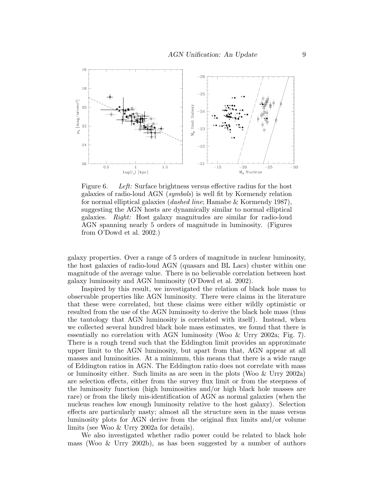

Figure 6. *Left:* Surface brightness versus effective radius for the host galaxies of radio-loud AGN (*symbols*) is well fit by Kormendy relation for normal elliptical galaxies (*dashed line*; Hamabe & Kormendy 1987), suggesting the AGN hosts are dynamically similar to normal elliptical galaxies. *Right:* Host galaxy magnitudes are similar for radio-loud AGN spanning nearly 5 orders of magnitude in luminosity. (Figures from O'Dowd et al. 2002.)

galaxy properties. Over a range of 5 orders of magnitude in nuclear luminosity, the host galaxies of radio-loud AGN (quasars and BL Lacs) cluster within one magnitude of the average value. There is no believable correlation between host galaxy luminosity and AGN luminosity (O'Dowd et al. 2002).

Inspired by this result, we investigated the relation of black hole mass to observable properties like AGN luminosity. There were claims in the literature that these were correlated, but these claims were either wildly optimistic or resulted from the use of the AGN luminosity to derive the black hole mass (thus the tautology that AGN luminosity is correlated with itself). Instead, when we collected several hundred black hole mass estimates, we found that there is essentially no correlation with AGN luminosity (Woo & Urry 2002a; Fig. 7). There is a rough trend such that the Eddington limit provides an approximate upper limit to the AGN luminosity, but apart from that, AGN appear at all masses and luminosities. At a minimum, this means that there is a wide range of Eddington ratios in AGN. The Eddington ratio does not correlate with mass or luminosity either. Such limits as are seen in the plots (Woo & Urry 2002a) are selection effects, either from the survey flux limit or from the steepness of the luminosity function (high luminosities and/or high black hole masses are rare) or from the likely mis-identification of AGN as normal galaxies (when the nucleus reaches low enough luminosity relative to the host galaxy). Selection effects are particularly nasty; almost all the structure seen in the mass versus luminosity plots for AGN derive from the original flux limits and/or volume limits (see Woo & Urry 2002a for details).

We also investigated whether radio power could be related to black hole mass (Woo & Urry 2002b), as has been suggested by a number of authors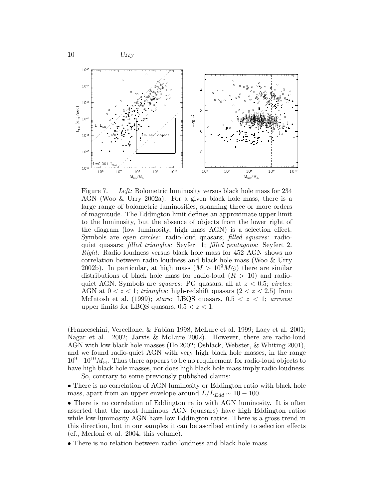![](_page_9_Figure_0.jpeg)

![](_page_9_Figure_1.jpeg)

Figure 7. *Left:* Bolometric luminosity versus black hole mass for 234 AGN (Woo & Urry 2002a). For a given black hole mass, there is a large range of bolometric luminosities, spanning three or more orders of magnitude. The Eddington limit defines an approximate upper limit to the luminosity, but the absence of objects from the lower right of the diagram (low luminosity, high mass AGN) is a selection effect. Symbols are *open circles:* radio-loud quasars; *filled squares:* radioquiet quasars; *filled triangles:* Seyfert 1; *filled pentagons:* Seyfert 2. *Right:* Radio loudness versus black hole mass for 452 AGN shows no correlation between radio loudness and black hole mass (Woo & Urry 2002b). In particular, at high mass  $(M > 10^9 M)$  there are similar distributions of black hole mass for radio-loud  $(R > 10)$  and radioquiet AGN. Symbols are *squares:* PG quasars, all at z < 0.5; *circles:* AGN at  $0 < z < 1$ ; *triangles:* high-redshift quasars  $(2 < z < 2.5)$  from McIntosh et al. (1999); *stars:* LBQS quasars,  $0.5 < z < 1$ ; *arrows:* upper limits for LBQS quasars,  $0.5 < z < 1$ .

(Franceschini, Vercellone, & Fabian 1998; McLure et al. 1999; Lacy et al. 2001; Nagar et al. 2002; Jarvis & McLure 2002). However, there are radio-loud AGN with low black hole masses (Ho 2002; Oshlack, Webster, & Whiting 2001), and we found radio-quiet AGN with very high black hole masses, in the range  $10^9-10^{10}M_{\odot}$ . Thus there appears to be no requirement for radio-loud objects to have high black hole masses, nor does high black hole mass imply radio loudness.

So, contrary to some previously published claims:

• There is no correlation of AGN luminosity or Eddington ratio with black hole mass, apart from an upper envelope around  $L/L_{Edd} \sim 10 - 100$ .

• There is no correlation of Eddington ratio with AGN luminosity. It is often asserted that the most luminous AGN (quasars) have high Eddington ratios while low-luminosity AGN have low Eddington ratios. There is a gross trend in this direction, but in our samples it can be ascribed entirely to selection effects (cf., Merloni et al. 2004, this volume).

• There is no relation between radio loudness and black hole mass.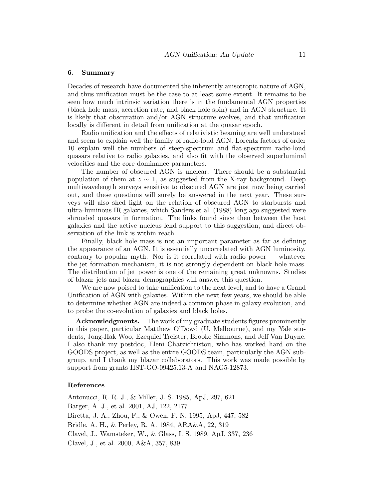#### 6. Summary

Decades of research have documented the inherently anisotropic nature of AGN, and thus unification must be the case to at least some extent. It remains to be seen how much intrinsic variation there is in the fundamental AGN properties (black hole mass, accretion rate, and black hole spin) and in AGN structure. It is likely that obscuration and/or AGN structure evolves, and that unification locally is different in detail from unification at the quasar epoch.

Radio unification and the effects of relativistic beaming are well understood and seem to explain well the family of radio-loud AGN. Lorentz factors of order 10 explain well the numbers of steep-spectrum and flat-spectrum radio-loud quasars relative to radio galaxies, and also fit with the observed superluminal velocities and the core dominance parameters.

The number of obscured AGN is unclear. There should be a substantial population of them at  $z \sim 1$ , as suggested from the X-ray background. Deep multiwavelength surveys sensitive to obscured AGN are just now being carried out, and these questions will surely be answered in the next year. These surveys will also shed light on the relation of obscured AGN to starbursts and ultra-luminous IR galaxies, which Sanders et al. (1988) long ago suggested were shrouded quasars in formation. The links found since then between the host galaxies and the active nucleus lend support to this suggestion, and direct observation of the link is within reach.

Finally, black hole mass is not an important parameter as far as defining the appearance of an AGN. It is essentially uncorrelated with AGN luminosity, contrary to popular myth. Nor is it correlated with radio power — whatever the jet formation mechanism, it is not strongly dependent on black hole mass. The distribution of jet power is one of the remaining great unknowns. Studies of blazar jets and blazar demographics will answer this question.

We are now poised to take unification to the next level, and to have a Grand Unification of AGN with galaxies. Within the next few years, we should be able to determine whether AGN are indeed a common phase in galaxy evolution, and to probe the co-evolution of galaxies and black holes.

Acknowledgments. The work of my graduate students figures prominently in this paper, particular Matthew O'Dowd (U. Melbourne), and my Yale students, Jong-Hak Woo, Ezequiel Treister, Brooke Simmons, and Jeff Van Duyne. I also thank my postdoc, Eleni Chatzichristou, who has worked hard on the GOODS project, as well as the entire GOODS team, particularly the AGN subgroup, and I thank my blazar collaborators. This work was made possible by support from grants HST-GO-09425.13-A and NAG5-12873.

## References

Antonucci, R. R. J., & Miller, J. S. 1985, ApJ, 297, 621 Barger, A. J., et al. 2001, AJ, 122, 2177 Biretta, J. A., Zhou, F., & Owen, F. N. 1995, ApJ, 447, 582 Bridle, A. H., & Perley, R. A. 1984, ARA&A, 22, 319 Clavel, J., Wamsteker, W., & Glass, I. S. 1989, ApJ, 337, 236 Clavel, J., et al. 2000, A&A, 357, 839